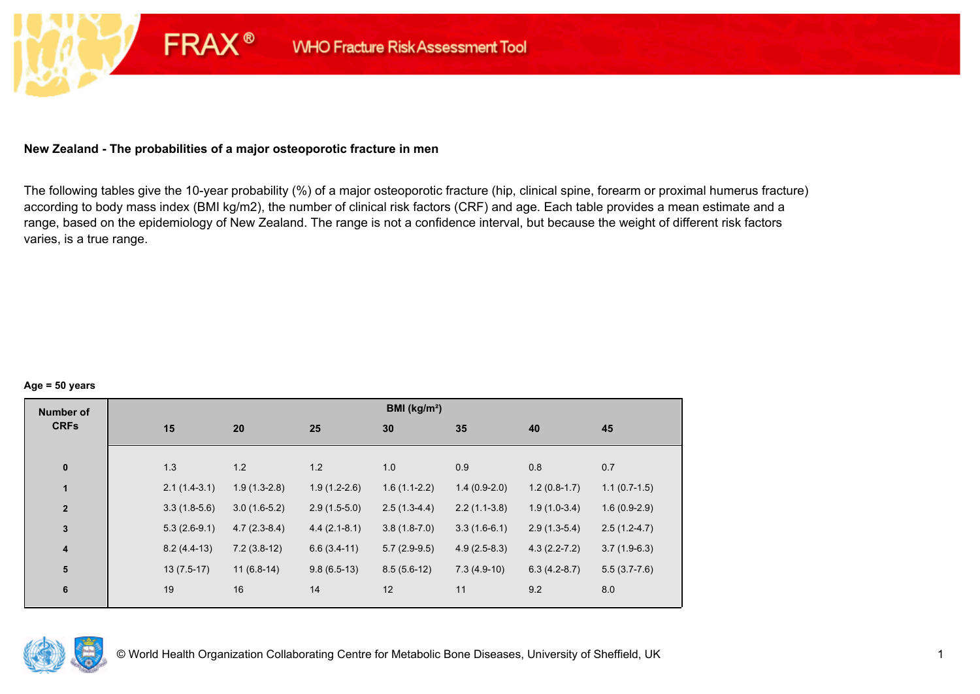## **New Zealand - The probabilities of a major osteoporotic fracture in men**

**FRAX®** 

The following tables give the 10-year probability (%) of a major osteoporotic fracture (hip, clinical spine, forearm or proximal humerus fracture) according to body mass index (BMI kg/m2), the number of clinical risk factors (CRF) and age. Each table provides a mean estimate and a range, based on the epidemiology of New Zealand. The range is not a confidence interval, but because the weight of different risk factors varies, is a true range.

#### **Age = 50 years**

| <b>Number of</b> |     |                |                |                | BMI (kg/m <sup>2</sup> ) |                |                  |                |
|------------------|-----|----------------|----------------|----------------|--------------------------|----------------|------------------|----------------|
| <b>CRFs</b>      | 15  | 20             |                | 25             | 30                       | 35             | 40               | 45             |
|                  |     |                |                |                |                          |                |                  |                |
| $\pmb{0}$        | 1.3 | 1.2            |                | 1.2            | 1.0                      | 0.9            | 0.8              | 0.7            |
| $\mathbf{1}$     |     | $2.1(1.4-3.1)$ | $1.9(1.3-2.8)$ | $1.9(1.2-2.6)$ | $1.6(1.1-2.2)$           | $1.4(0.9-2.0)$ | $1.2(0.8-1.7)$   | $1.1(0.7-1.5)$ |
| $\overline{2}$   |     | $3.3(1.8-5.6)$ | $3.0(1.6-5.2)$ | $2.9(1.5-5.0)$ | $2.5(1.3-4.4)$           | $2.2(1.1-3.8)$ | $1.9(1.0-3.4)$   | $1.6(0.9-2.9)$ |
| $\mathbf{3}$     |     | $5.3(2.6-9.1)$ | $4.7(2.3-8.4)$ | $4.4(2.1-8.1)$ | $3.8(1.8-7.0)$           | $3.3(1.6-6.1)$ | $2.9(1.3-5.4)$   | $2.5(1.2-4.7)$ |
| $\boldsymbol{4}$ |     | $8.2(4.4-13)$  | $7.2(3.8-12)$  | $6.6(3.4-11)$  | $5.7(2.9-9.5)$           | $4.9(2.5-8.3)$ | $4.3(2.2 - 7.2)$ | $3.7(1.9-6.3)$ |
| 5                |     | $13(7.5-17)$   | $11(6.8-14)$   | $9.8(6.5-13)$  | $8.5(5.6-12)$            | $7.3(4.9-10)$  | $6.3(4.2-8.7)$   | $5.5(3.7-7.6)$ |
| $\bf 6$          | 19  | 16             |                | 14             | 12                       | 11             | 9.2              | 8.0            |
|                  |     |                |                |                |                          |                |                  |                |

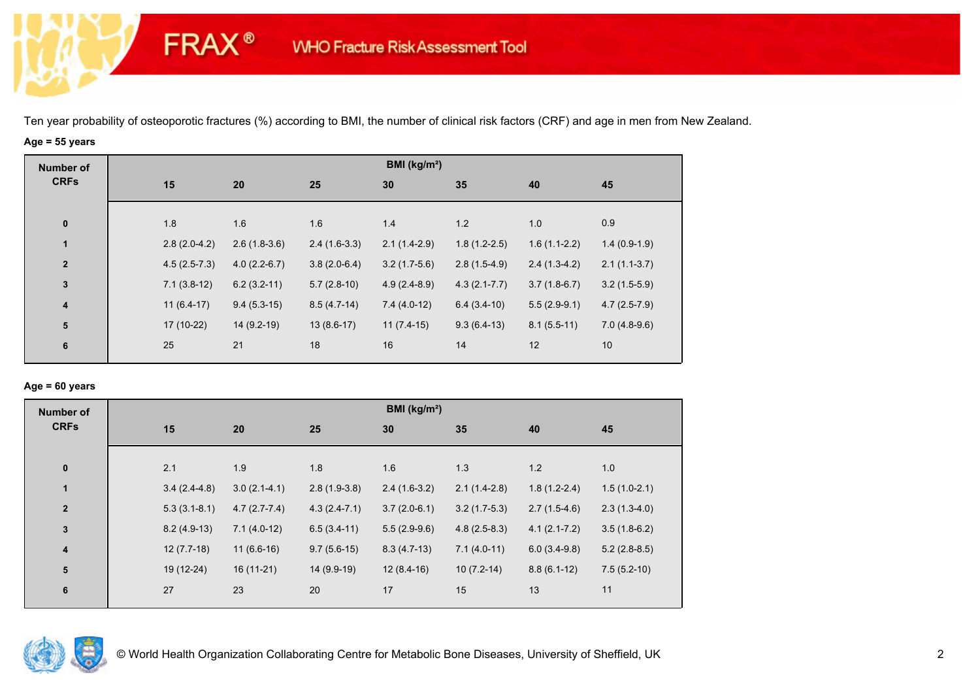## **Age = 55 years**

**FRAX®** 

| <b>Number of</b>        |                |                |                | BMI (kg/m <sup>2</sup> ) |                  |                |                |
|-------------------------|----------------|----------------|----------------|--------------------------|------------------|----------------|----------------|
| <b>CRFs</b>             | 15             | 20             | 25             | 30                       | 35               | 40             | 45             |
|                         |                |                |                |                          |                  |                |                |
| $\mathbf 0$             | 1.8            | 1.6            | 1.6            | 1.4                      | 1.2              | 1.0            | 0.9            |
| $\mathbf{1}$            | $2.8(2.0-4.2)$ | $2.6(1.8-3.6)$ | $2.4(1.6-3.3)$ | $2.1(1.4-2.9)$           | $1.8(1.2-2.5)$   | $1.6(1.1-2.2)$ | $1.4(0.9-1.9)$ |
| $\overline{\mathbf{2}}$ | $4.5(2.5-7.3)$ | $4.0(2.2-6.7)$ | $3.8(2.0-6.4)$ | $3.2(1.7-5.6)$           | $2.8(1.5-4.9)$   | $2.4(1.3-4.2)$ | $2.1(1.1-3.7)$ |
| $\mathbf{3}$            | $7.1(3.8-12)$  | $6.2(3.2-11)$  | $5.7(2.8-10)$  | $4.9(2.4-8.9)$           | $4.3(2.1 - 7.7)$ | $3.7(1.8-6.7)$ | $3.2(1.5-5.9)$ |
| $\boldsymbol{4}$        | $11(6.4-17)$   | $9.4(5.3-15)$  | $8.5(4.7-14)$  | $7.4(4.0-12)$            | $6.4(3.4-10)$    | $5.5(2.9-9.1)$ | $4.7(2.5-7.9)$ |
| ${\bf 5}$               | 17 (10-22)     | $14(9.2-19)$   | $13(8.6-17)$   | $11(7.4-15)$             | $9.3(6.4-13)$    | $8.1(5.5-11)$  | $7.0(4.8-9.6)$ |
| 6                       | 25             | 21             | 18             | 16                       | 14               | 12             | 10             |
|                         |                |                |                |                          |                  |                |                |

#### **Age = 60 years**

| <b>Number of</b>        |     |                                  |                | BMI ( $kg/m2$ ) |                |                  |                |
|-------------------------|-----|----------------------------------|----------------|-----------------|----------------|------------------|----------------|
| <b>CRFs</b>             | 15  | 20                               | 25             | 30              | 35             | 40               | 45             |
| $\pmb{0}$               | 2.1 | 1.9                              | 1.8            | 1.6             | 1.3            | 1.2              | 1.0            |
| $\mathbf{1}$            |     | $3.0(2.1-4.1)$<br>$3.4(2.4-4.8)$ | $2.8(1.9-3.8)$ | $2.4(1.6-3.2)$  | $2.1(1.4-2.8)$ | $1.8(1.2-2.4)$   | $1.5(1.0-2.1)$ |
| $\mathbf{2}$            |     | $4.7(2.7-7.4)$<br>$5.3(3.1-8.1)$ | $4.3(2.4-7.1)$ | $3.7(2.0-6.1)$  | $3.2(1.7-5.3)$ | $2.7(1.5-4.6)$   | $2.3(1.3-4.0)$ |
| 3                       |     | $8.2(4.9-13)$<br>$7.1(4.0-12)$   | $6.5(3.4-11)$  | $5.5(2.9-9.6)$  | $4.8(2.5-8.3)$ | $4.1(2.1 - 7.2)$ | $3.5(1.8-6.2)$ |
| $\overline{\mathbf{4}}$ |     | $12(7.7-18)$<br>$11(6.6-16)$     | $9.7(5.6-15)$  | $8.3(4.7-13)$   | $7.1(4.0-11)$  | $6.0(3.4-9.8)$   | $5.2(2.8-8.5)$ |
| ${\bf 5}$               |     | 19 (12-24)<br>$16(11-21)$        | 14 (9.9-19)    | $12(8.4-16)$    | $10(7.2-14)$   | $8.8(6.1-12)$    | $7.5(5.2-10)$  |
| 6                       | 27  | 23                               | 20             | 17              | 15             | 13               | 11             |

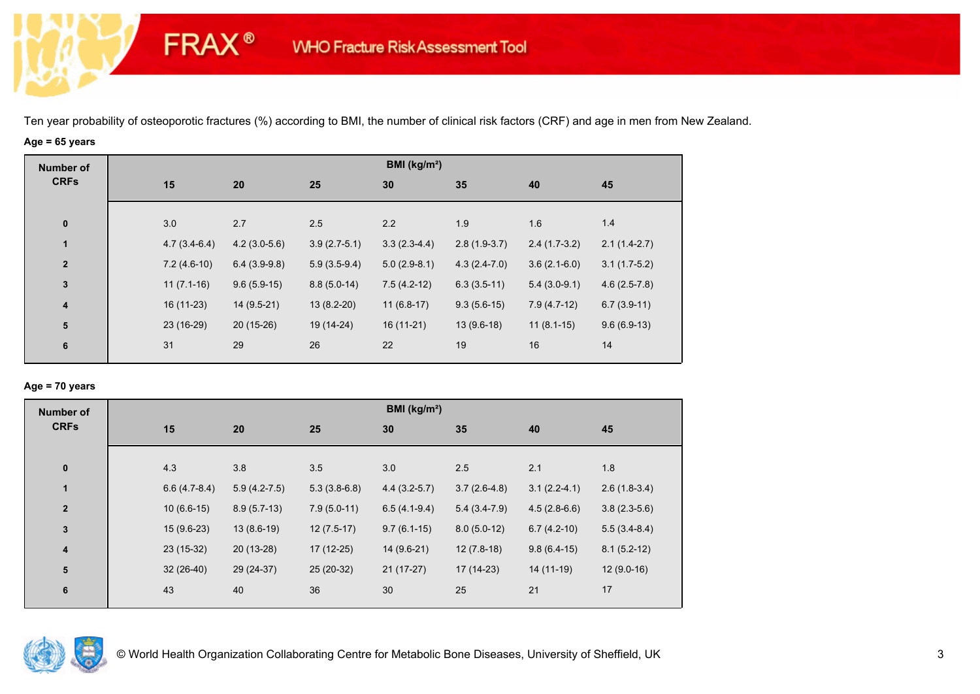# **Age = 65 years**

**FRAX®** 

| <b>Number of</b> |                |                |                | BMI (kg/m <sup>2</sup> ) |                |                |                |
|------------------|----------------|----------------|----------------|--------------------------|----------------|----------------|----------------|
| <b>CRFs</b>      | 15             | 20             | 25             | 30                       | 35             | 40             | 45             |
|                  |                |                |                |                          |                |                |                |
| $\pmb{0}$        | 3.0            | 2.7            | 2.5            | 2.2                      | 1.9            | 1.6            | 1.4            |
| $\mathbf{1}$     | $4.7(3.4-6.4)$ | $4.2(3.0-5.6)$ | $3.9(2.7-5.1)$ | $3.3(2.3-4.4)$           | $2.8(1.9-3.7)$ | $2.4(1.7-3.2)$ | $2.1(1.4-2.7)$ |
| $\mathbf{2}$     | $7.2(4.6-10)$  | $6.4(3.9-9.8)$ | $5.9(3.5-9.4)$ | $5.0(2.9-8.1)$           | $4.3(2.4-7.0)$ | $3.6(2.1-6.0)$ | $3.1(1.7-5.2)$ |
| $\mathbf{3}$     | $11(7.1-16)$   | $9.6(5.9-15)$  | $8.8(5.0-14)$  | $7.5(4.2-12)$            | $6.3(3.5-11)$  | $5.4(3.0-9.1)$ | $4.6(2.5-7.8)$ |
| 4                | $16(11-23)$    | 14 (9.5-21)    | $13(8.2-20)$   | $11(6.8-17)$             | $9.3(5.6-15)$  | $7.9(4.7-12)$  | $6.7(3.9-11)$  |
| 5                | 23 (16-29)     | $20(15-26)$    | 19 (14-24)     | $16(11-21)$              | $13(9.6-18)$   | $11(8.1-15)$   | $9.6(6.9-13)$  |
| 6                | 31             | 29             | 26             | 22                       | 19             | 16             | 14             |
|                  |                |                |                |                          |                |                |                |

## **Age = 70 years**

| <b>Number of</b> |                |                |                | BMI (kg/m <sup>2</sup> ) |                |                |                |
|------------------|----------------|----------------|----------------|--------------------------|----------------|----------------|----------------|
| <b>CRFs</b>      | 15             | 20             | 25             | 30                       | 35             | 40             | 45             |
| $\pmb{0}$        | 4.3            | 3.8            | 3.5            | 3.0                      | 2.5            | 2.1            | 1.8            |
| $\mathbf{1}$     | $6.6(4.7-8.4)$ | $5.9(4.2-7.5)$ | $5.3(3.8-6.8)$ | $4.4(3.2-5.7)$           | $3.7(2.6-4.8)$ | $3.1(2.2-4.1)$ | $2.6(1.8-3.4)$ |
| $\overline{2}$   | $10(6.6-15)$   | $8.9(5.7-13)$  | $7.9(5.0-11)$  | $6.5(4.1-9.4)$           | $5.4(3.4-7.9)$ | $4.5(2.8-6.6)$ | $3.8(2.3-5.6)$ |
| $\mathbf{3}$     | $15(9.6-23)$   | $13(8.6-19)$   | $12(7.5-17)$   | $9.7(6.1-15)$            | $8.0(5.0-12)$  | $6.7(4.2-10)$  | $5.5(3.4-8.4)$ |
| $\pmb{4}$        | $23(15-32)$    | 20 (13-28)     | 17 (12-25)     | 14 (9.6-21)              | $12(7.8-18)$   | $9.8(6.4-15)$  | $8.1(5.2-12)$  |
| 5                | $32(26-40)$    | 29 (24-37)     | 25 (20-32)     | $21(17-27)$              | $17(14-23)$    | $14(11-19)$    | $12(9.0-16)$   |
| 6                | 43             | 40             | 36             | 30                       | 25             | 21             | 17             |

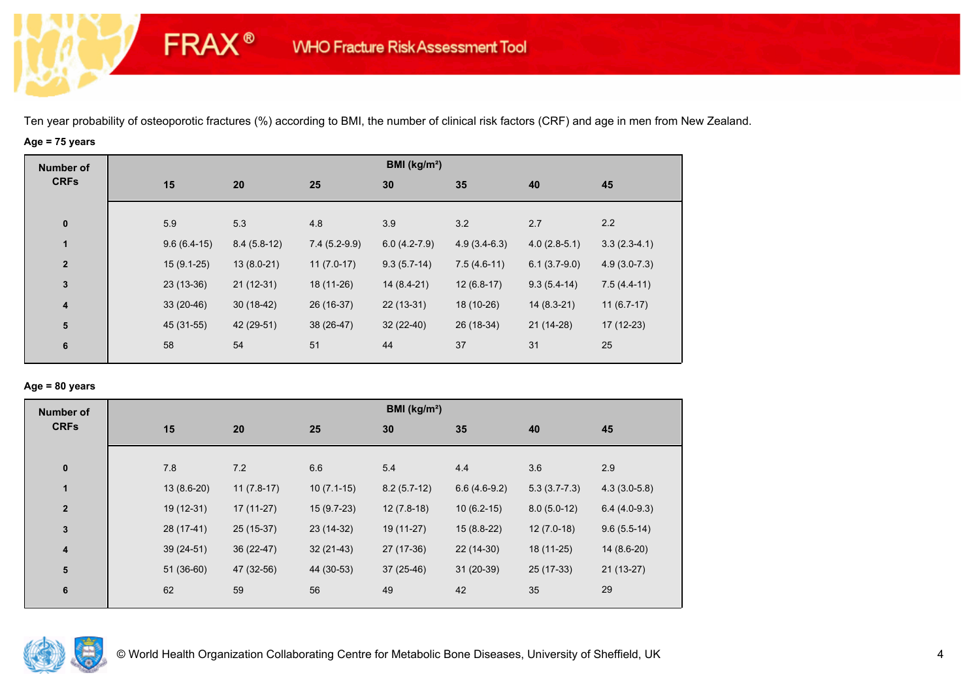# **Age = 75 years**

**FRAX®** 

| <b>Number of</b>        |               |               |                | BMI (kg/m <sup>2</sup> ) |                |                |                |
|-------------------------|---------------|---------------|----------------|--------------------------|----------------|----------------|----------------|
| <b>CRFs</b>             | 15            | 20            | 25             | 30                       | 35             | 40             | 45             |
| $\bf{0}$                | 5.9           | 5.3           | 4.8            | 3.9                      | 3.2            | 2.7            | 2.2            |
| 1                       | $9.6(6.4-15)$ | $8.4(5.8-12)$ | $7.4(5.2-9.9)$ | $6.0(4.2-7.9)$           | $4.9(3.4-6.3)$ | $4.0(2.8-5.1)$ | $3.3(2.3-4.1)$ |
| $\mathbf{2}$            | $15(9.1-25)$  | $13(8.0-21)$  | $11(7.0-17)$   | $9.3(5.7-14)$            | $7.5(4.6-11)$  | $6.1(3.7-9.0)$ | $4.9(3.0-7.3)$ |
| $\mathbf{3}$            | $23(13-36)$   | $21(12-31)$   | 18 (11-26)     | $14(8.4-21)$             | $12(6.8-17)$   | $9.3(5.4-14)$  | $7.5(4.4-11)$  |
| $\overline{\mathbf{4}}$ | $33(20-46)$   | $30(18-42)$   | 26 (16-37)     | $22(13-31)$              | 18 (10-26)     | $14(8.3-21)$   | $11(6.7-17)$   |
| ${\bf 5}$               | 45 (31-55)    | 42 (29-51)    | 38 (26-47)     | $32(22-40)$              | 26 (18-34)     | 21 (14-28)     | $17(12-23)$    |
| $\bf 6$                 | 58            | 54            | 51             | 44                       | 37             | 31             | 25             |

#### **Age = 80 years**

| <b>Number of</b>        |              |              |              | BMI (kg/m <sup>2</sup> ) |                |                |                |
|-------------------------|--------------|--------------|--------------|--------------------------|----------------|----------------|----------------|
| <b>CRFs</b>             | 15           | 20           | 25           | 30                       | 35             | 40             | 45             |
| $\pmb{0}$               | 7.8          | 7.2          | 6.6          | 5.4                      | 4.4            | 3.6            | 2.9            |
| $\mathbf{1}$            | $13(8.6-20)$ | $11(7.8-17)$ | $10(7.1-15)$ | $8.2(5.7-12)$            | $6.6(4.6-9.2)$ | $5.3(3.7-7.3)$ | $4.3(3.0-5.8)$ |
| $\overline{\mathbf{2}}$ | $19(12-31)$  | $17(11-27)$  | $15(9.7-23)$ | $12(7.8-18)$             | $10(6.2-15)$   | $8.0(5.0-12)$  | $6.4(4.0-9.3)$ |
| $\mathbf 3$             | 28 (17-41)   | 25 (15-37)   | 23 (14-32)   | 19 (11-27)               | $15(8.8-22)$   | $12(7.0-18)$   | $9.6(5.5-14)$  |
| $\overline{\mathbf{4}}$ | $39(24-51)$  | 36 (22-47)   | $32(21-43)$  | 27 (17-36)               | $22(14-30)$    | 18 (11-25)     | $14(8.6-20)$   |
| ${\bf 5}$               | $51(36-60)$  | 47 (32-56)   | 44 (30-53)   | $37(25-46)$              | $31(20-39)$    | 25 (17-33)     | $21(13-27)$    |
| 6                       | 62           | 59           | 56           | 49                       | 42             | 35             | 29             |